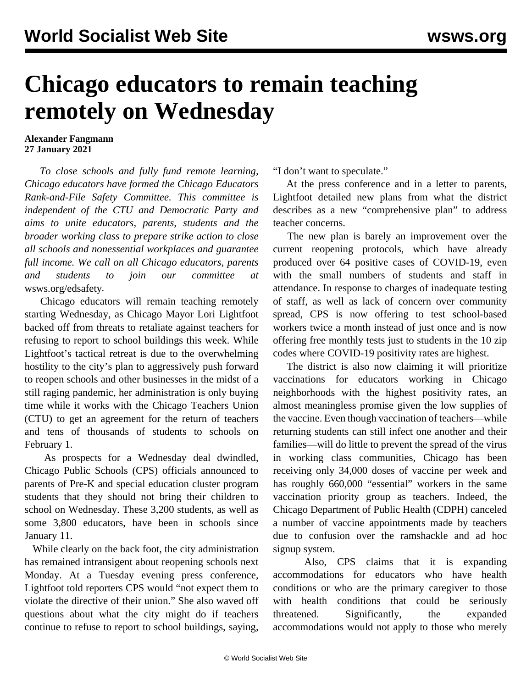## **Chicago educators to remain teaching remotely on Wednesday**

## **Alexander Fangmann 27 January 2021**

 *To close schools and fully fund remote learning, Chicago educators have formed the Chicago Educators Rank-and-File Safety Committee. This committee is independent of the CTU and Democratic Party and aims to unite educators, parents, students and the broader working class to prepare strike action to close all schools and nonessential workplaces and guarantee full income. We call on all Chicago educators, parents and students to join our committee at* [wsws.org/edsafety](/edsafety)*.*

 Chicago educators will remain teaching remotely starting Wednesday, as Chicago Mayor Lori Lightfoot backed off from threats to retaliate against teachers for refusing to report to school buildings this week. While Lightfoot's tactical retreat is due to the overwhelming hostility to the city's plan to aggressively push forward to reopen schools and other businesses in the midst of a still raging pandemic, her administration is only buying time while it works with the Chicago Teachers Union (CTU) to get an agreement for the return of teachers and tens of thousands of students to schools on February 1.

 As prospects for a Wednesday deal dwindled, Chicago Public Schools (CPS) officials announced to parents of Pre-K and special education cluster program students that they should not bring their children to school on Wednesday. These 3,200 students, as well as some 3,800 educators, have been in schools since January 11.

 While clearly on the back foot, the city administration has remained intransigent about reopening schools next Monday. At a Tuesday evening press conference, Lightfoot told reporters CPS would "not expect them to violate the directive of their union." She also waved off questions about what the city might do if teachers continue to refuse to report to school buildings, saying,

"I don't want to speculate."

 At the press conference and in a letter to parents, Lightfoot detailed new plans from what the district describes as a new "comprehensive plan" to address teacher concerns.

 The new plan is barely an improvement over the current reopening protocols, which have already produced over 64 positive cases of COVID-19, even with the small numbers of students and staff in attendance. In response to charges of inadequate testing of staff, as well as lack of concern over community spread, CPS is now offering to test school-based workers twice a month instead of just once and is now offering free monthly tests just to students in the 10 zip codes where COVID-19 positivity rates are highest.

 The district is also now claiming it will prioritize vaccinations for educators working in Chicago neighborhoods with the highest positivity rates, an almost meaningless promise given the low supplies of the vaccine. Even though vaccination of teachers—while returning students can still infect one another and their families—will do little to prevent the spread of the virus in working class communities, Chicago has been receiving only 34,000 doses of vaccine per week and has roughly 660,000 "essential" workers in the same vaccination priority group as teachers. Indeed, the Chicago Department of Public Health (CDPH) canceled a number of vaccine appointments made by teachers due to confusion over the ramshackle and ad hoc signup system.

 Also, CPS claims that it is expanding accommodations for educators who have health conditions or who are the primary caregiver to those with health conditions that could be seriously threatened. Significantly, the expanded accommodations would not apply to those who merely